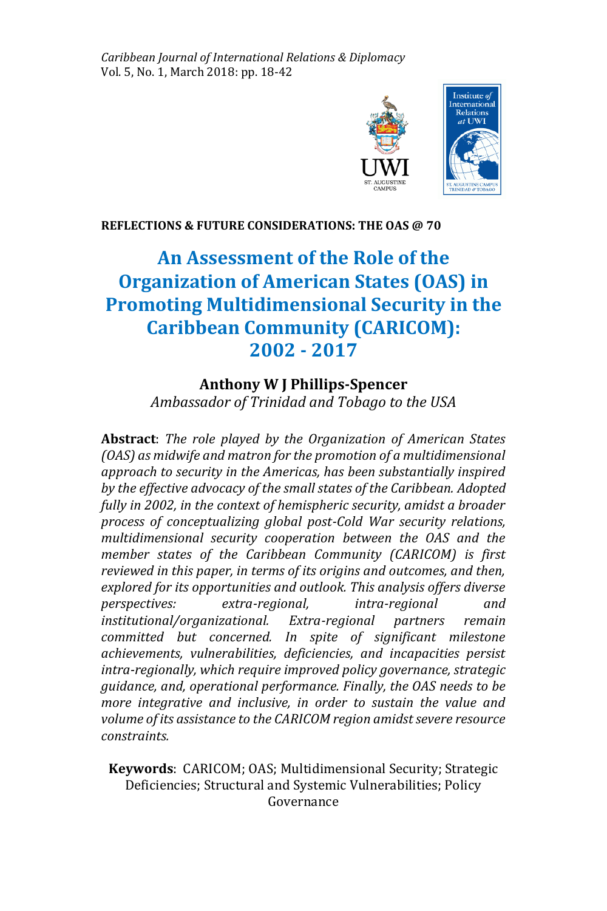*Caribbean Journal of International Relations & Diplomacy* Vol. 5, No. 1, March 2018: pp. 18-42



# **REFLECTIONS & FUTURE CONSIDERATIONS: THE OAS @ 70**

# **An Assessment of the Role of the Organization of American States (OAS) in Promoting Multidimensional Security in the Caribbean Community (CARICOM): 2002 - 2017**

# **Anthony W J Phillips-Spencer**

*Ambassador of Trinidad and Tobago to the USA*

**Abstract**: *The role played by the Organization of American States (OAS) as midwife and matron for the promotion of a multidimensional approach to security in the Americas, has been substantially inspired by the effective advocacy of the small states of the Caribbean. Adopted fully in 2002, in the context of hemispheric security, amidst a broader process of conceptualizing global post-Cold War security relations, multidimensional security cooperation between the OAS and the member states of the Caribbean Community (CARICOM) is first reviewed in this paper, in terms of its origins and outcomes, and then, explored for its opportunities and outlook. This analysis offers diverse perspectives: extra-regional, intra-regional and institutional/organizational. Extra-regional partners remain committed but concerned. In spite of significant milestone achievements, vulnerabilities, deficiencies, and incapacities persist intra-regionally, which require improved policy governance, strategic guidance, and, operational performance. Finally, the OAS needs to be more integrative and inclusive, in order to sustain the value and volume of its assistance to the CARICOM region amidst severe resource constraints.* 

**Keywords**: CARICOM; OAS; Multidimensional Security; Strategic Deficiencies; Structural and Systemic Vulnerabilities; Policy Governance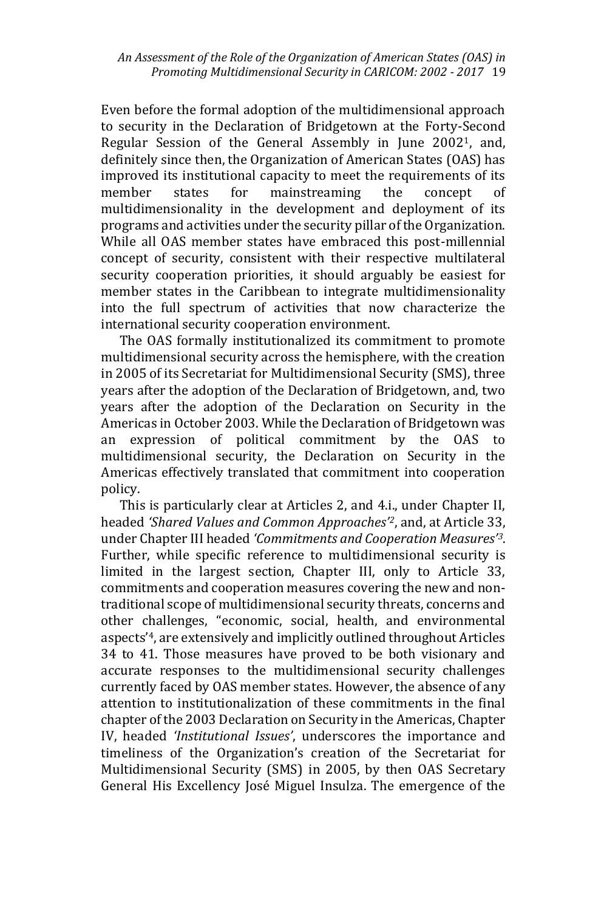Even before the formal adoption of the multidimensional approach to security in the Declaration of Bridgetown at the Forty-Second Regular Session of the General Assembly in June 20021, and, definitely since then, the Organization of American States (OAS) has improved its institutional capacity to meet the requirements of its member states for mainstreaming the concept of multidimensionality in the development and deployment of its programs and activities under the security pillar of the Organization. While all OAS member states have embraced this post-millennial concept of security, consistent with their respective multilateral security cooperation priorities, it should arguably be easiest for member states in the Caribbean to integrate multidimensionality into the full spectrum of activities that now characterize the international security cooperation environment.

 The OAS formally institutionalized its commitment to promote multidimensional security across the hemisphere, with the creation in 2005 of its Secretariat for Multidimensional Security (SMS), three years after the adoption of the Declaration of Bridgetown, and, two years after the adoption of the Declaration on Security in the Americas in October 2003. While the Declaration of Bridgetown was an expression of political commitment by the OAS to multidimensional security, the Declaration on Security in the Americas effectively translated that commitment into cooperation policy.

 This is particularly clear at Articles 2, and 4.i., under Chapter II, headed *'Shared Values and Common Approaches'2*, and, at Article 33, under Chapter III headed *'Commitments and Cooperation Measures'3*. Further, while specific reference to multidimensional security is limited in the largest section, Chapter III, only to Article 33, commitments and cooperation measures covering the new and nontraditional scope of multidimensional security threats, concerns and other challenges, "economic, social, health, and environmental aspects'4, are extensively and implicitly outlined throughout Articles 34 to 41. Those measures have proved to be both visionary and accurate responses to the multidimensional security challenges currently faced by OAS member states. However, the absence of any attention to institutionalization of these commitments in the final chapter of the 2003 Declaration on Security in the Americas, Chapter IV, headed *'Institutional Issues'*, underscores the importance and timeliness of the Organization's creation of the Secretariat for Multidimensional Security (SMS) in 2005, by then OAS Secretary General His Excellency José Miguel Insulza. The emergence of the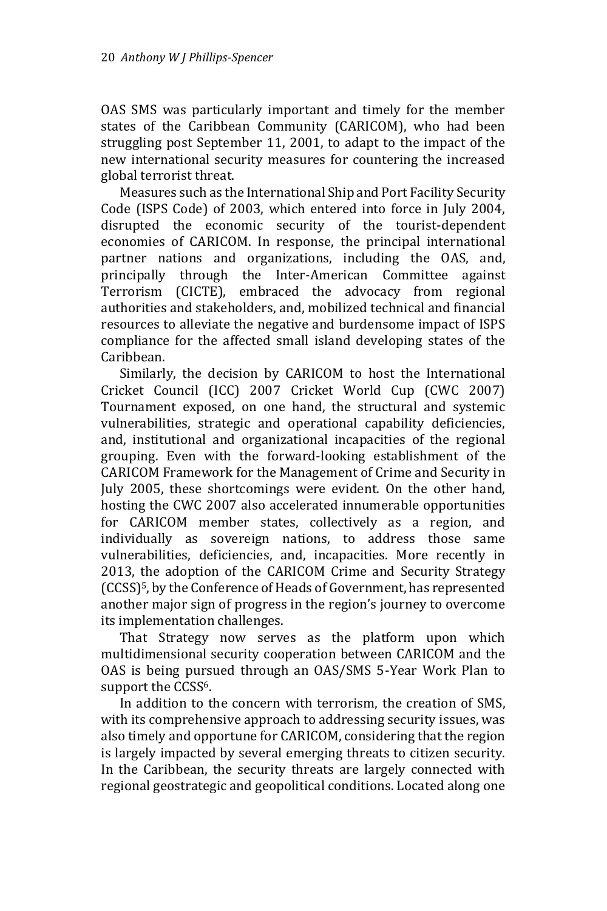OAS SMS was particularly important and timely for the member states of the Caribbean Community (CARICOM), who had been struggling post September 11, 2001, to adapt to the impact of the new international security measures for countering the increased global terrorist threat.

 Measures such as the International Ship and Port Facility Security Code (ISPS Code) of 2003, which entered into force in July 2004, disrupted the economic security of the tourist-dependent economies of CARICOM. In response, the principal international partner nations and organizations, including the OAS, and, principally through the Inter-American Committee against Terrorism (CICTE), embraced the advocacy from regional authorities and stakeholders, and, mobilized technical and financial resources to alleviate the negative and burdensome impact of ISPS compliance for the affected small island developing states of the Caribbean.

 Similarly, the decision by CARICOM to host the International Cricket Council (ICC) 2007 Cricket World Cup (CWC 2007) Tournament exposed, on one hand, the structural and systemic vulnerabilities, strategic and operational capability deficiencies, and, institutional and organizational incapacities of the regional grouping. Even with the forward-looking establishment of the CARICOM Framework for the Management of Crime and Security in July 2005, these shortcomings were evident. On the other hand, hosting the CWC 2007 also accelerated innumerable opportunities for CARICOM member states, collectively as a region, and individually as sovereign nations, to address those same vulnerabilities, deficiencies, and, incapacities. More recently in 2013, the adoption of the CARICOM Crime and Security Strategy (CCSS)5, by the Conference of Heads of Government, has represented another major sign of progress in the region's journey to overcome its implementation challenges.

 That Strategy now serves as the platform upon which multidimensional security cooperation between CARICOM and the OAS is being pursued through an OAS/SMS 5-Year Work Plan to support the CCSS<sup>6</sup>.

 In addition to the concern with terrorism, the creation of SMS, with its comprehensive approach to addressing security issues, was also timely and opportune for CARICOM, considering that the region is largely impacted by several emerging threats to citizen security. In the Caribbean, the security threats are largely connected with regional geostrategic and geopolitical conditions. Located along one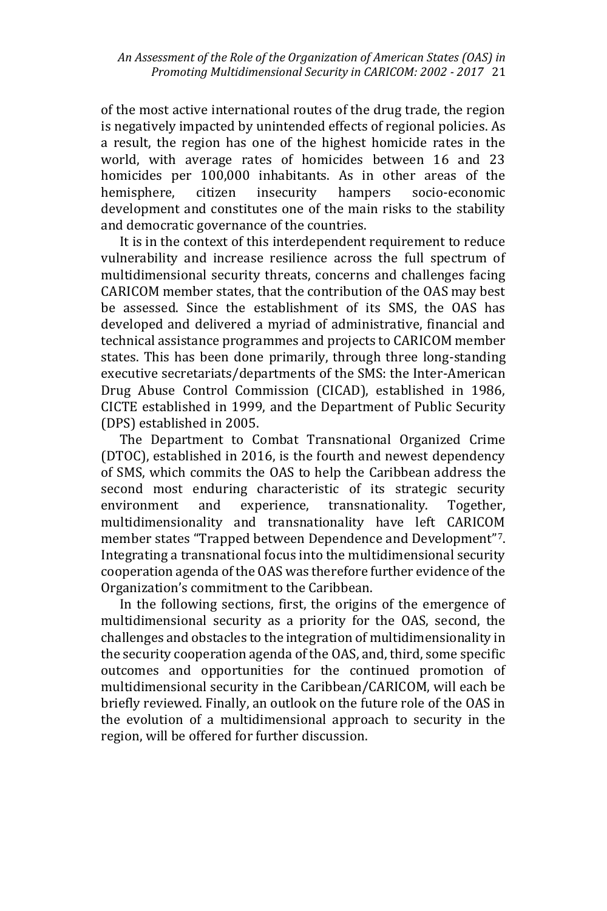of the most active international routes of the drug trade, the region is negatively impacted by unintended effects of regional policies. As a result, the region has one of the highest homicide rates in the world, with average rates of homicides between 16 and 23 homicides per 100,000 inhabitants. As in other areas of the hemisphere, citizen insecurity hampers socio-economic development and constitutes one of the main risks to the stability and democratic governance of the countries.

 It is in the context of this interdependent requirement to reduce vulnerability and increase resilience across the full spectrum of multidimensional security threats, concerns and challenges facing CARICOM member states, that the contribution of the OAS may best be assessed. Since the establishment of its SMS, the OAS has developed and delivered a myriad of administrative, financial and technical assistance programmes and projects to CARICOM member states. This has been done primarily, through three long-standing executive secretariats/departments of the SMS: the Inter-American Drug Abuse Control Commission (CICAD), established in 1986, CICTE established in 1999, and the Department of Public Security (DPS) established in 2005.

 The Department to Combat Transnational Organized Crime (DTOC), established in 2016, is the fourth and newest dependency of SMS, which commits the OAS to help the Caribbean address the second most enduring characteristic of its strategic security environment and experience, transnationality. Together, multidimensionality and transnationality have left CARICOM member states "Trapped between Dependence and Development"7. Integrating a transnational focus into the multidimensional security cooperation agenda of the OAS was therefore further evidence of the Organization's commitment to the Caribbean.

 In the following sections, first, the origins of the emergence of multidimensional security as a priority for the OAS, second, the challenges and obstacles to the integration of multidimensionality in the security cooperation agenda of the OAS, and, third, some specific outcomes and opportunities for the continued promotion of multidimensional security in the Caribbean/CARICOM, will each be briefly reviewed. Finally, an outlook on the future role of the OAS in the evolution of a multidimensional approach to security in the region, will be offered for further discussion.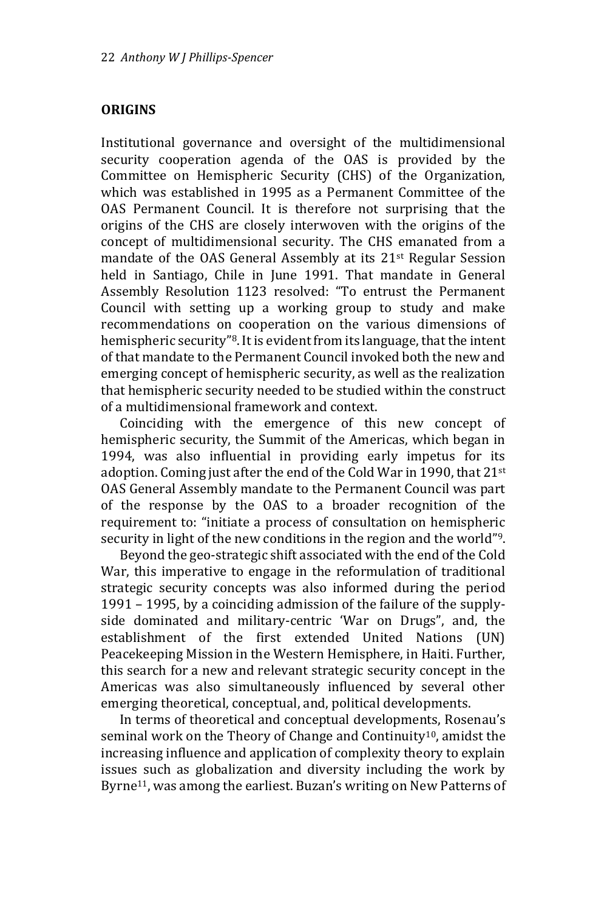### **ORIGINS**

Institutional governance and oversight of the multidimensional security cooperation agenda of the OAS is provided by the Committee on Hemispheric Security (CHS) of the Organization, which was established in 1995 as a Permanent Committee of the OAS Permanent Council. It is therefore not surprising that the origins of the CHS are closely interwoven with the origins of the concept of multidimensional security. The CHS emanated from a mandate of the OAS General Assembly at its 21st Regular Session held in Santiago, Chile in June 1991. That mandate in General Assembly Resolution 1123 resolved: "To entrust the Permanent Council with setting up a working group to study and make recommendations on cooperation on the various dimensions of hemispheric security"8. It is evident from its language, that the intent of that mandate to the Permanent Council invoked both the new and emerging concept of hemispheric security, as well as the realization that hemispheric security needed to be studied within the construct of a multidimensional framework and context.

 Coinciding with the emergence of this new concept of hemispheric security, the Summit of the Americas, which began in 1994, was also influential in providing early impetus for its adoption. Coming just after the end of the Cold War in 1990, that 21<sup>st</sup> OAS General Assembly mandate to the Permanent Council was part of the response by the OAS to a broader recognition of the requirement to: "initiate a process of consultation on hemispheric security in light of the new conditions in the region and the world"9.

 Beyond the geo-strategic shift associated with the end of the Cold War, this imperative to engage in the reformulation of traditional strategic security concepts was also informed during the period 1991 – 1995, by a coinciding admission of the failure of the supplyside dominated and military-centric 'War on Drugs", and, the establishment of the first extended United Nations (UN) Peacekeeping Mission in the Western Hemisphere, in Haiti. Further, this search for a new and relevant strategic security concept in the Americas was also simultaneously influenced by several other emerging theoretical, conceptual, and, political developments.

 In terms of theoretical and conceptual developments, Rosenau's seminal work on the Theory of Change and Continuity<sup>10</sup>, amidst the increasing influence and application of complexity theory to explain issues such as globalization and diversity including the work by Byrne<sup>11</sup>, was among the earliest. Buzan's writing on New Patterns of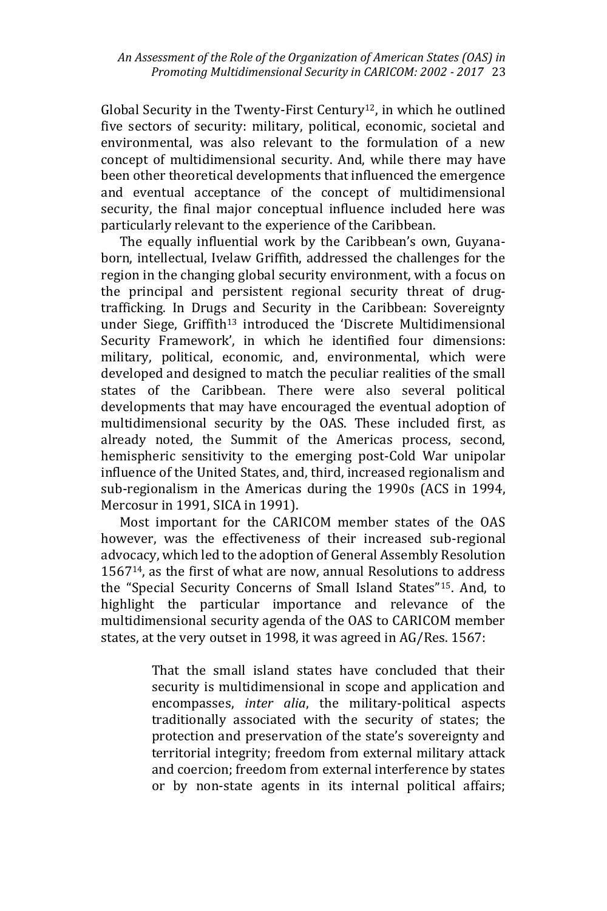Global Security in the Twenty-First Century<sup>12</sup>, in which he outlined five sectors of security: military, political, economic, societal and environmental, was also relevant to the formulation of a new concept of multidimensional security. And, while there may have been other theoretical developments that influenced the emergence and eventual acceptance of the concept of multidimensional security, the final major conceptual influence included here was particularly relevant to the experience of the Caribbean.

 The equally influential work by the Caribbean's own, Guyanaborn, intellectual, Ivelaw Griffith, addressed the challenges for the region in the changing global security environment, with a focus on the principal and persistent regional security threat of drugtrafficking. In Drugs and Security in the Caribbean: Sovereignty under Siege, Griffith<sup>13</sup> introduced the 'Discrete Multidimensional Security Framework', in which he identified four dimensions: military, political, economic, and, environmental, which were developed and designed to match the peculiar realities of the small states of the Caribbean. There were also several political developments that may have encouraged the eventual adoption of multidimensional security by the OAS. These included first, as already noted, the Summit of the Americas process, second, hemispheric sensitivity to the emerging post-Cold War unipolar influence of the United States, and, third, increased regionalism and sub-regionalism in the Americas during the 1990s (ACS in 1994, Mercosur in 1991, SICA in 1991).

 Most important for the CARICOM member states of the OAS however, was the effectiveness of their increased sub-regional advocacy, which led to the adoption of General Assembly Resolution 156714, as the first of what are now, annual Resolutions to address the "Special Security Concerns of Small Island States"15. And, to highlight the particular importance and relevance of the multidimensional security agenda of the OAS to CARICOM member states, at the very outset in 1998, it was agreed in AG/Res. 1567:

> That the small island states have concluded that their security is multidimensional in scope and application and encompasses, *inter alia*, the military-political aspects traditionally associated with the security of states; the protection and preservation of the state's sovereignty and territorial integrity; freedom from external military attack and coercion; freedom from external interference by states or by non-state agents in its internal political affairs;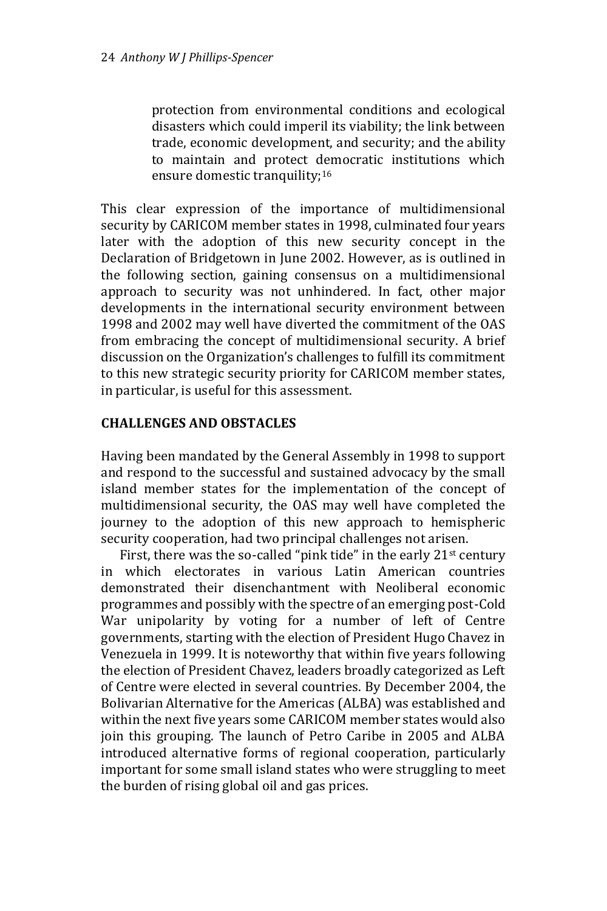protection from environmental conditions and ecological disasters which could imperil its viability; the link between trade, economic development, and security; and the ability to maintain and protect democratic institutions which ensure domestic tranquility;<sup>16</sup>

This clear expression of the importance of multidimensional security by CARICOM member states in 1998, culminated four years later with the adoption of this new security concept in the Declaration of Bridgetown in June 2002. However, as is outlined in the following section, gaining consensus on a multidimensional approach to security was not unhindered. In fact, other major developments in the international security environment between 1998 and 2002 may well have diverted the commitment of the OAS from embracing the concept of multidimensional security. A brief discussion on the Organization's challenges to fulfill its commitment to this new strategic security priority for CARICOM member states, in particular, is useful for this assessment.

# **CHALLENGES AND OBSTACLES**

Having been mandated by the General Assembly in 1998 to support and respond to the successful and sustained advocacy by the small island member states for the implementation of the concept of multidimensional security, the OAS may well have completed the journey to the adoption of this new approach to hemispheric security cooperation, had two principal challenges not arisen.

First, there was the so-called "pink tide" in the early  $21<sup>st</sup>$  century in which electorates in various Latin American countries demonstrated their disenchantment with Neoliberal economic programmes and possibly with the spectre of an emerging post-Cold War unipolarity by voting for a number of left of Centre governments, starting with the election of President Hugo Chavez in Venezuela in 1999. It is noteworthy that within five years following the election of President Chavez, leaders broadly categorized as Left of Centre were elected in several countries. By December 2004, the Bolivarian Alternative for the Americas (ALBA) was established and within the next five years some CARICOM member states would also join this grouping. The launch of Petro Caribe in 2005 and ALBA introduced alternative forms of regional cooperation, particularly important for some small island states who were struggling to meet the burden of rising global oil and gas prices.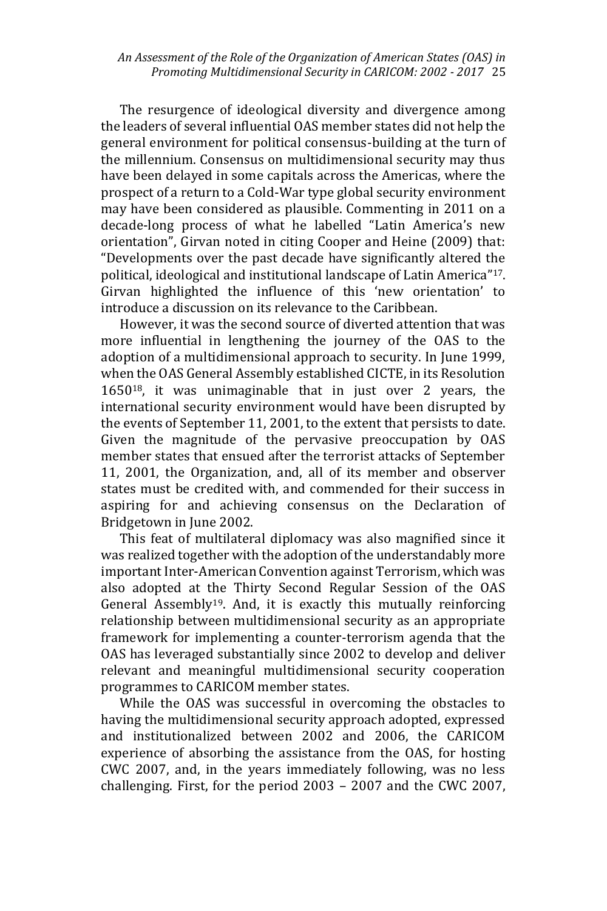The resurgence of ideological diversity and divergence among the leaders of several influential OAS member states did not help the general environment for political consensus-building at the turn of the millennium. Consensus on multidimensional security may thus have been delayed in some capitals across the Americas, where the prospect of a return to a Cold-War type global security environment may have been considered as plausible. Commenting in 2011 on a decade-long process of what he labelled "Latin America's new orientation", Girvan noted in citing Cooper and Heine (2009) that: "Developments over the past decade have significantly altered the political, ideological and institutional landscape of Latin America"17. Girvan highlighted the influence of this 'new orientation' to introduce a discussion on its relevance to the Caribbean.

 However, it was the second source of diverted attention that was more influential in lengthening the journey of the OAS to the adoption of a multidimensional approach to security. In June 1999, when the OAS General Assembly established CICTE, in its Resolution 165018, it was unimaginable that in just over 2 years, the international security environment would have been disrupted by the events of September 11, 2001, to the extent that persists to date. Given the magnitude of the pervasive preoccupation by OAS member states that ensued after the terrorist attacks of September 11, 2001, the Organization, and, all of its member and observer states must be credited with, and commended for their success in aspiring for and achieving consensus on the Declaration of Bridgetown in June 2002.

 This feat of multilateral diplomacy was also magnified since it was realized together with the adoption of the understandably more important Inter-American Convention against Terrorism, which was also adopted at the Thirty Second Regular Session of the OAS General Assembly19. And, it is exactly this mutually reinforcing relationship between multidimensional security as an appropriate framework for implementing a counter-terrorism agenda that the OAS has leveraged substantially since 2002 to develop and deliver relevant and meaningful multidimensional security cooperation programmes to CARICOM member states.

 While the OAS was successful in overcoming the obstacles to having the multidimensional security approach adopted, expressed and institutionalized between 2002 and 2006, the CARICOM experience of absorbing the assistance from the OAS, for hosting CWC 2007, and, in the years immediately following, was no less challenging. First, for the period 2003 – 2007 and the CWC 2007,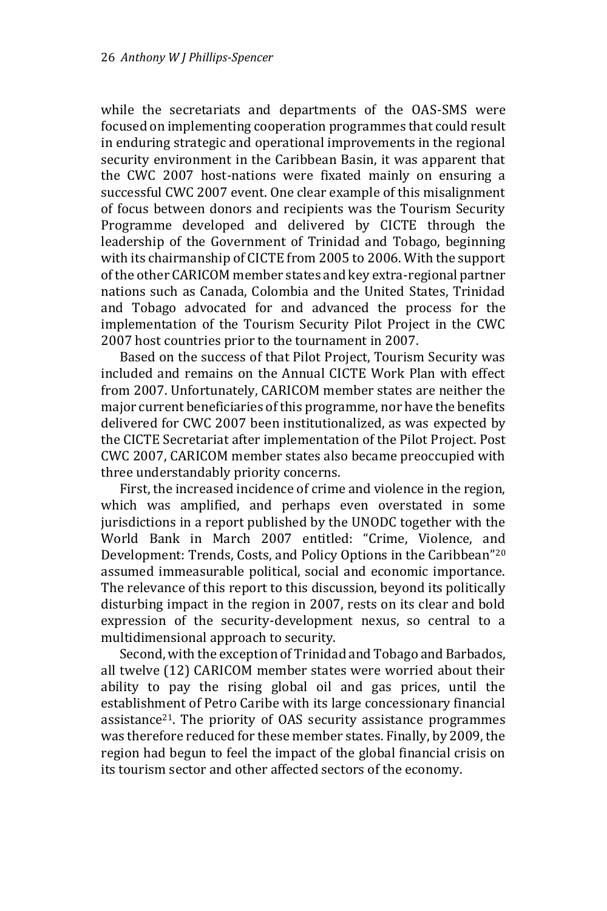while the secretariats and departments of the OAS-SMS were focused on implementing cooperation programmes that could result in enduring strategic and operational improvements in the regional security environment in the Caribbean Basin, it was apparent that the CWC 2007 host-nations were fixated mainly on ensuring a successful CWC 2007 event. One clear example of this misalignment of focus between donors and recipients was the Tourism Security Programme developed and delivered by CICTE through the leadership of the Government of Trinidad and Tobago, beginning with its chairmanship of CICTE from 2005 to 2006. With the support of the other CARICOM member states and key extra-regional partner nations such as Canada, Colombia and the United States, Trinidad and Tobago advocated for and advanced the process for the implementation of the Tourism Security Pilot Project in the CWC 2007 host countries prior to the tournament in 2007.

 Based on the success of that Pilot Project, Tourism Security was included and remains on the Annual CICTE Work Plan with effect from 2007. Unfortunately, CARICOM member states are neither the major current beneficiaries of this programme, nor have the benefits delivered for CWC 2007 been institutionalized, as was expected by the CICTE Secretariat after implementation of the Pilot Project. Post CWC 2007, CARICOM member states also became preoccupied with three understandably priority concerns.

 First, the increased incidence of crime and violence in the region, which was amplified, and perhaps even overstated in some jurisdictions in a report published by the UNODC together with the World Bank in March 2007 entitled: "Crime, Violence, and Development: Trends, Costs, and Policy Options in the Caribbean"<sup>20</sup> assumed immeasurable political, social and economic importance. The relevance of this report to this discussion, beyond its politically disturbing impact in the region in 2007, rests on its clear and bold expression of the security-development nexus, so central to a multidimensional approach to security.

 Second, with the exception of Trinidad and Tobago and Barbados, all twelve (12) CARICOM member states were worried about their ability to pay the rising global oil and gas prices, until the establishment of Petro Caribe with its large concessionary financial assistance21. The priority of OAS security assistance programmes was therefore reduced for these member states. Finally, by 2009, the region had begun to feel the impact of the global financial crisis on its tourism sector and other affected sectors of the economy.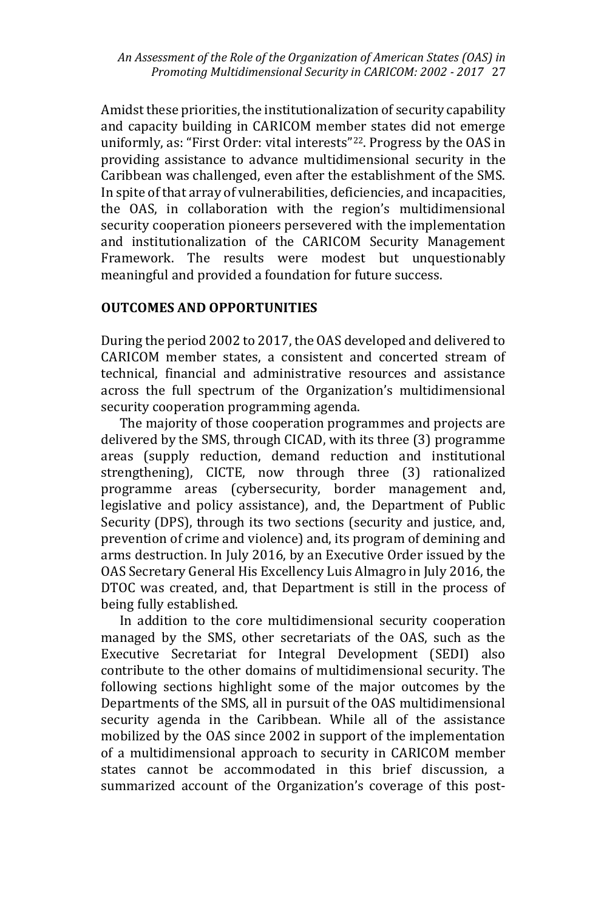Amidst these priorities, the institutionalization of security capability and capacity building in CARICOM member states did not emerge uniformly, as: "First Order: vital interests"22. Progress by the OAS in providing assistance to advance multidimensional security in the Caribbean was challenged, even after the establishment of the SMS. In spite of that array of vulnerabilities, deficiencies, and incapacities, the OAS, in collaboration with the region's multidimensional security cooperation pioneers persevered with the implementation and institutionalization of the CARICOM Security Management Framework. The results were modest but unquestionably meaningful and provided a foundation for future success.

# **OUTCOMES AND OPPORTUNITIES**

During the period 2002 to 2017, the OAS developed and delivered to CARICOM member states, a consistent and concerted stream of technical, financial and administrative resources and assistance across the full spectrum of the Organization's multidimensional security cooperation programming agenda.

 The majority of those cooperation programmes and projects are delivered by the SMS, through CICAD, with its three (3) programme areas (supply reduction, demand reduction and institutional strengthening), CICTE, now through three (3) rationalized programme areas (cybersecurity, border management and, legislative and policy assistance), and, the Department of Public Security (DPS), through its two sections (security and justice, and, prevention of crime and violence) and, its program of demining and arms destruction. In July 2016, by an Executive Order issued by the OAS Secretary General His Excellency Luis Almagro in July 2016, the DTOC was created, and, that Department is still in the process of being fully established.

 In addition to the core multidimensional security cooperation managed by the SMS, other secretariats of the OAS, such as the Executive Secretariat for Integral Development (SEDI) also contribute to the other domains of multidimensional security. The following sections highlight some of the major outcomes by the Departments of the SMS, all in pursuit of the OAS multidimensional security agenda in the Caribbean. While all of the assistance mobilized by the OAS since 2002 in support of the implementation of a multidimensional approach to security in CARICOM member states cannot be accommodated in this brief discussion, a summarized account of the Organization's coverage of this post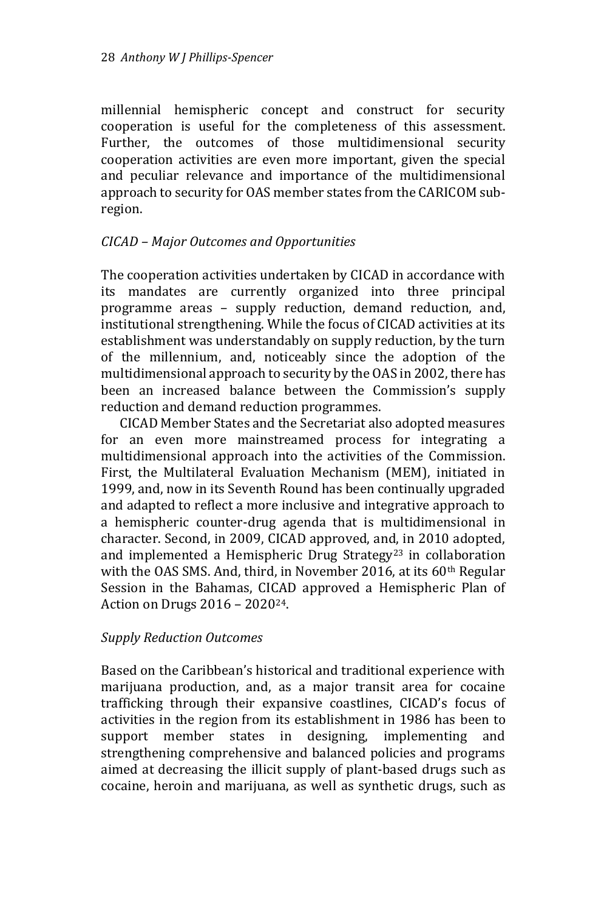millennial hemispheric concept and construct for security cooperation is useful for the completeness of this assessment. Further, the outcomes of those multidimensional security cooperation activities are even more important, given the special and peculiar relevance and importance of the multidimensional approach to security for OAS member states from the CARICOM subregion.

# *CICAD – Major Outcomes and Opportunities*

The cooperation activities undertaken by CICAD in accordance with its mandates are currently organized into three principal programme areas – supply reduction, demand reduction, and, institutional strengthening. While the focus of CICAD activities at its establishment was understandably on supply reduction, by the turn of the millennium, and, noticeably since the adoption of the multidimensional approach to security by the OAS in 2002, there has been an increased balance between the Commission's supply reduction and demand reduction programmes.

 CICAD Member States and the Secretariat also adopted measures for an even more mainstreamed process for integrating a multidimensional approach into the activities of the Commission. First, the Multilateral Evaluation Mechanism (MEM), initiated in 1999, and, now in its Seventh Round has been continually upgraded and adapted to reflect a more inclusive and integrative approach to a hemispheric counter-drug agenda that is multidimensional in character. Second, in 2009, CICAD approved, and, in 2010 adopted, and implemented a Hemispheric Drug Strategy<sup>23</sup> in collaboration with the OAS SMS. And, third, in November 2016, at its  $60<sup>th</sup>$  Regular Session in the Bahamas, CICAD approved a Hemispheric Plan of Action on Drugs 2016 – 202024.

#### *Supply Reduction Outcomes*

Based on the Caribbean's historical and traditional experience with marijuana production, and, as a major transit area for cocaine trafficking through their expansive coastlines, CICAD's focus of activities in the region from its establishment in 1986 has been to support member states in designing, implementing and strengthening comprehensive and balanced policies and programs aimed at decreasing the illicit supply of plant-based drugs such as cocaine, heroin and marijuana, as well as synthetic drugs, such as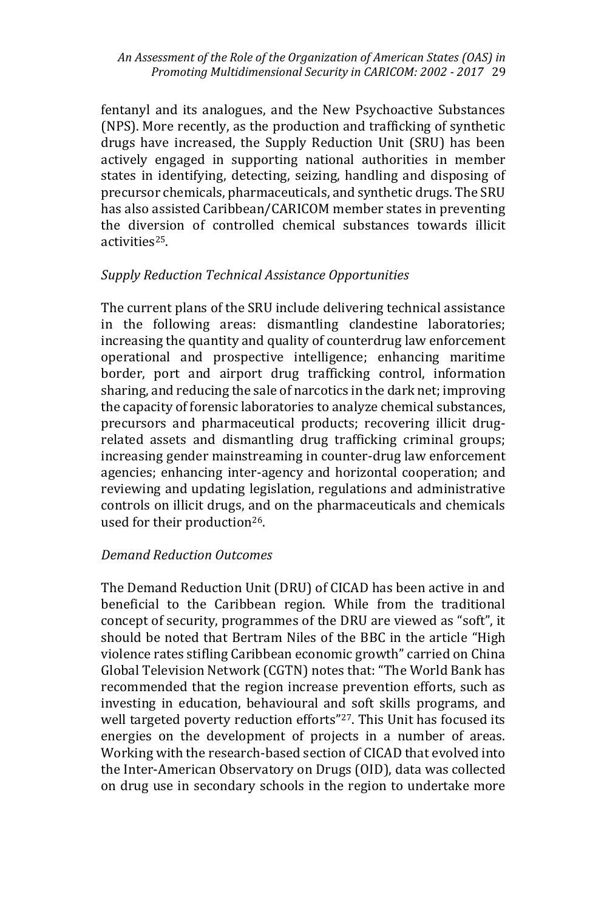#### *An Assessment of the Role of the Organization of American States (OAS) in Promoting Multidimensional Security in CARICOM: 2002 - 2017* 29

fentanyl and its analogues, and the New Psychoactive Substances (NPS). More recently, as the production and trafficking of synthetic drugs have increased, the Supply Reduction Unit (SRU) has been actively engaged in supporting national authorities in member states in identifying, detecting, seizing, handling and disposing of precursor chemicals, pharmaceuticals, and synthetic drugs. The SRU has also assisted Caribbean/CARICOM member states in preventing the diversion of controlled chemical substances towards illicit activities25.

# *Supply Reduction Technical Assistance Opportunities*

The current plans of the SRU include delivering technical assistance in the following areas: dismantling clandestine laboratories; increasing the quantity and quality of counterdrug law enforcement operational and prospective intelligence; enhancing maritime border, port and airport drug trafficking control, information sharing, and reducing the sale of narcotics in the dark net; improving the capacity of forensic laboratories to analyze chemical substances, precursors and pharmaceutical products; recovering illicit drugrelated assets and dismantling drug trafficking criminal groups; increasing gender mainstreaming in counter-drug law enforcement agencies; enhancing inter-agency and horizontal cooperation; and reviewing and updating legislation, regulations and administrative controls on illicit drugs, and on the pharmaceuticals and chemicals used for their production<sup>26</sup>.

# *Demand Reduction Outcomes*

The Demand Reduction Unit (DRU) of CICAD has been active in and beneficial to the Caribbean region. While from the traditional concept of security, programmes of the DRU are viewed as "soft", it should be noted that Bertram Niles of the BBC in the article "High violence rates stifling Caribbean economic growth" carried on China Global Television Network (CGTN) notes that: "The World Bank has recommended that the region increase prevention efforts, such as investing in education, behavioural and soft skills programs, and well targeted poverty reduction efforts"<sup>27</sup>. This Unit has focused its energies on the development of projects in a number of areas. Working with the research-based section of CICAD that evolved into the Inter-American Observatory on Drugs (OID), data was collected on drug use in secondary schools in the region to undertake more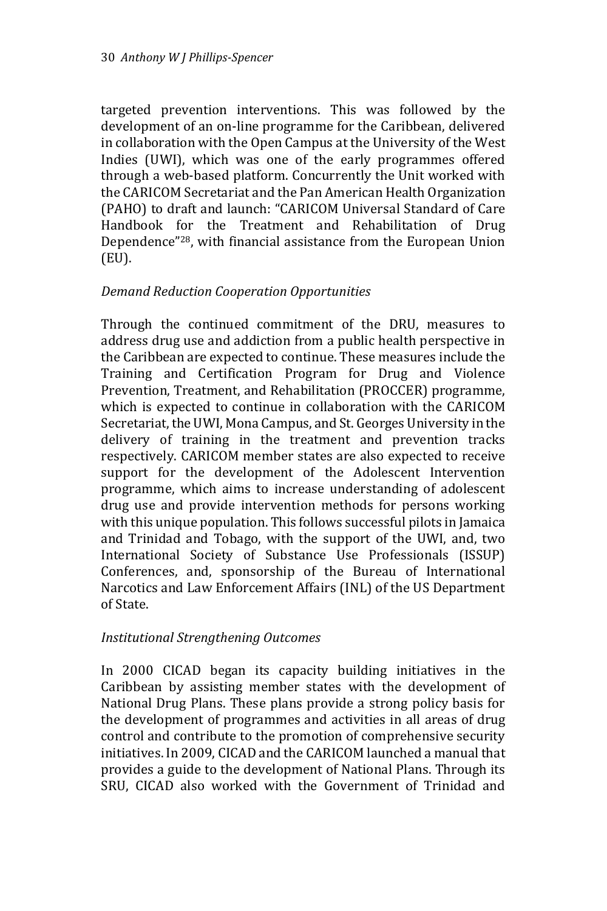targeted prevention interventions. This was followed by the development of an on-line programme for the Caribbean, delivered in collaboration with the Open Campus at the University of the West Indies (UWI), which was one of the early programmes offered through a web-based platform. Concurrently the Unit worked with the CARICOM Secretariat and the Pan American Health Organization (PAHO) to draft and launch: "CARICOM Universal Standard of Care Handbook for the Treatment and Rehabilitation of Drug Dependence"28, with financial assistance from the European Union (EU).

# *Demand Reduction Cooperation Opportunities*

Through the continued commitment of the DRU, measures to address drug use and addiction from a public health perspective in the Caribbean are expected to continue. These measures include the Training and Certification Program for Drug and Violence Prevention, Treatment, and Rehabilitation (PROCCER) programme, which is expected to continue in collaboration with the CARICOM Secretariat, the UWI, Mona Campus, and St. Georges University in the delivery of training in the treatment and prevention tracks respectively. CARICOM member states are also expected to receive support for the development of the Adolescent Intervention programme, which aims to increase understanding of adolescent drug use and provide intervention methods for persons working with this unique population. This follows successful pilots in Jamaica and Trinidad and Tobago, with the support of the UWI, and, two International Society of Substance Use Professionals (ISSUP) Conferences, and, sponsorship of the Bureau of International Narcotics and Law Enforcement Affairs (INL) of the US Department of State.

# *Institutional Strengthening Outcomes*

In 2000 CICAD began its capacity building initiatives in the Caribbean by assisting member states with the development of National Drug Plans. These plans provide a strong policy basis for the development of programmes and activities in all areas of drug control and contribute to the promotion of comprehensive security initiatives. In 2009, CICAD and the CARICOM launched a manual that provides a guide to the development of National Plans. Through its SRU, CICAD also worked with the Government of Trinidad and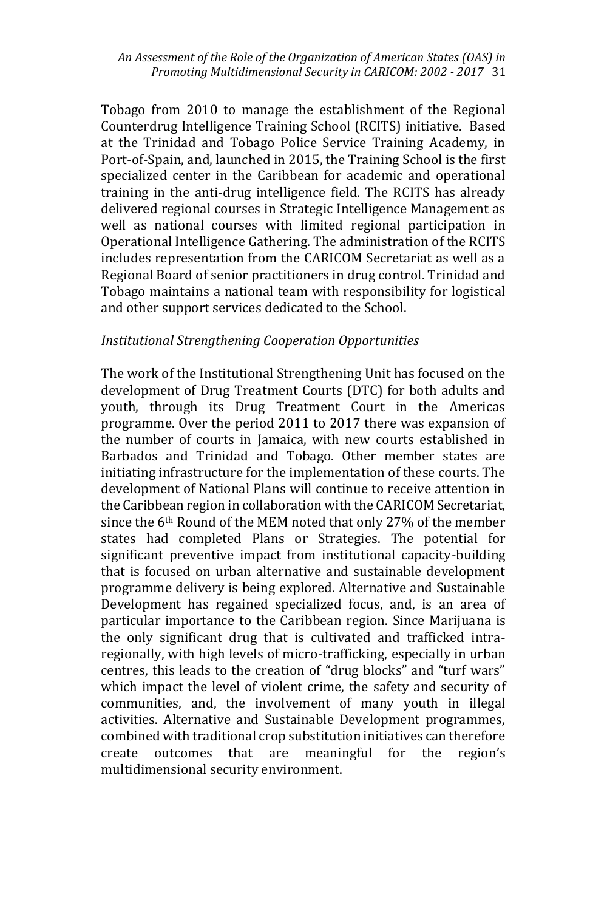*An Assessment of the Role of the Organization of American States (OAS) in Promoting Multidimensional Security in CARICOM: 2002 - 2017* 31

Tobago from 2010 to manage the establishment of the Regional Counterdrug Intelligence Training School (RCITS) initiative. Based at the Trinidad and Tobago Police Service Training Academy, in Port-of-Spain, and, launched in 2015, the Training School is the first specialized center in the Caribbean for academic and operational training in the anti-drug intelligence field. The RCITS has already delivered regional courses in Strategic Intelligence Management as well as national courses with limited regional participation in Operational Intelligence Gathering. The administration of the RCITS includes representation from the CARICOM Secretariat as well as a Regional Board of senior practitioners in drug control. Trinidad and Tobago maintains a national team with responsibility for logistical and other support services dedicated to the School.

#### *Institutional Strengthening Cooperation Opportunities*

The work of the Institutional Strengthening Unit has focused on the development of Drug Treatment Courts (DTC) for both adults and youth, through its Drug Treatment Court in the Americas programme. Over the period 2011 to 2017 there was expansion of the number of courts in Jamaica, with new courts established in Barbados and Trinidad and Tobago. Other member states are initiating infrastructure for the implementation of these courts. The development of National Plans will continue to receive attention in the Caribbean region in collaboration with the CARICOM Secretariat, since the 6<sup>th</sup> Round of the MEM noted that only 27% of the member states had completed Plans or Strategies. The potential for significant preventive impact from institutional capacity-building that is focused on urban alternative and sustainable development programme delivery is being explored. Alternative and Sustainable Development has regained specialized focus, and, is an area of particular importance to the Caribbean region. Since Marijuana is the only significant drug that is cultivated and trafficked intraregionally, with high levels of micro-trafficking, especially in urban centres, this leads to the creation of "drug blocks" and "turf wars" which impact the level of violent crime, the safety and security of communities, and, the involvement of many youth in illegal activities. Alternative and Sustainable Development programmes, combined with traditional crop substitution initiatives can therefore create outcomes that are meaningful for the region's multidimensional security environment.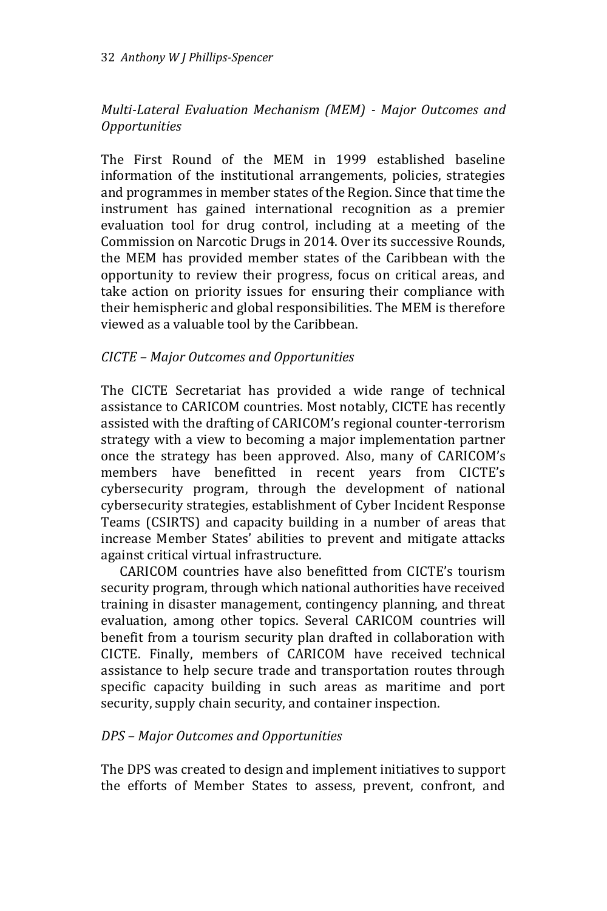# *Multi-Lateral Evaluation Mechanism (MEM) - Major Outcomes and Opportunities*

The First Round of the MEM in 1999 established baseline information of the institutional arrangements, policies, strategies and programmes in member states of the Region. Since that time the instrument has gained international recognition as a premier evaluation tool for drug control, including at a meeting of the Commission on Narcotic Drugs in 2014. Over its successive Rounds, the MEM has provided member states of the Caribbean with the opportunity to review their progress, focus on critical areas, and take action on priority issues for ensuring their compliance with their hemispheric and global responsibilities. The MEM is therefore viewed as a valuable tool by the Caribbean.

# *CICTE – Major Outcomes and Opportunities*

The CICTE Secretariat has provided a wide range of technical assistance to CARICOM countries. Most notably, CICTE has recently assisted with the drafting of CARICOM's regional counter-terrorism strategy with a view to becoming a major implementation partner once the strategy has been approved. Also, many of CARICOM's members have benefitted in recent years from CICTE's cybersecurity program, through the development of national cybersecurity strategies, establishment of Cyber Incident Response Teams (CSIRTS) and capacity building in a number of areas that increase Member States' abilities to prevent and mitigate attacks against critical virtual infrastructure.

 CARICOM countries have also benefitted from CICTE's tourism security program, through which national authorities have received training in disaster management, contingency planning, and threat evaluation, among other topics. Several CARICOM countries will benefit from a tourism security plan drafted in collaboration with CICTE. Finally, members of CARICOM have received technical assistance to help secure trade and transportation routes through specific capacity building in such areas as maritime and port security, supply chain security, and container inspection.

# *DPS – Major Outcomes and Opportunities*

The DPS was created to design and implement initiatives to support the efforts of Member States to assess, prevent, confront, and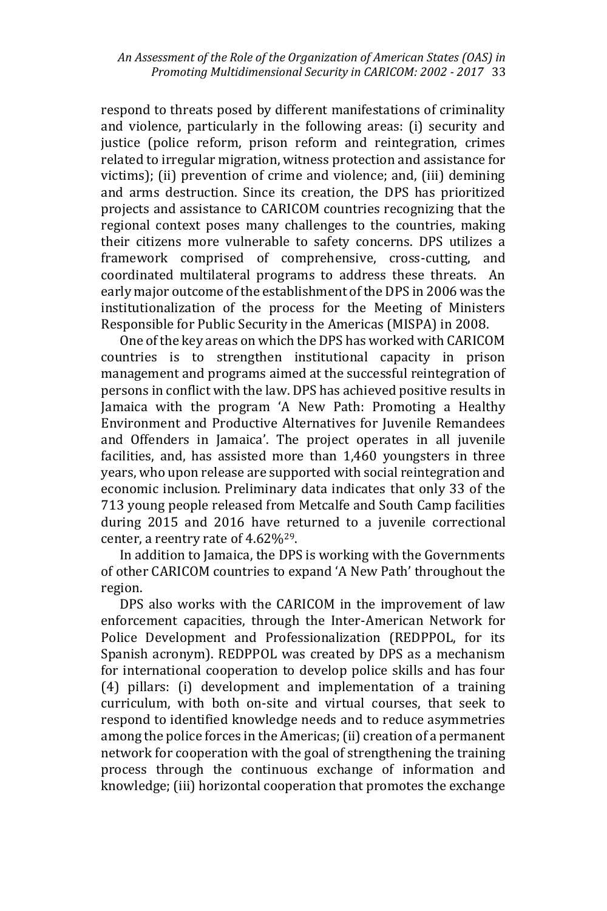respond to threats posed by different manifestations of criminality and violence, particularly in the following areas: (i) security and justice (police reform, prison reform and reintegration, crimes related to irregular migration, witness protection and assistance for victims); (ii) prevention of crime and violence; and, (iii) demining and arms destruction. Since its creation, the DPS has prioritized projects and assistance to CARICOM countries recognizing that the regional context poses many challenges to the countries, making their citizens more vulnerable to safety concerns. DPS utilizes a framework comprised of comprehensive, cross-cutting, and coordinated multilateral programs to address these threats. An early major outcome of the establishment of the DPS in 2006 was the institutionalization of the process for the Meeting of Ministers Responsible for Public Security in the Americas (MISPA) in 2008.

 One of the key areas on which the DPS has worked with CARICOM countries is to strengthen institutional capacity in prison management and programs aimed at the successful reintegration of persons in conflict with the law. DPS has achieved positive results in Jamaica with the program 'A New Path: Promoting a Healthy Environment and Productive Alternatives for Juvenile Remandees and Offenders in Jamaica'. The project operates in all juvenile facilities, and, has assisted more than 1,460 youngsters in three years, who upon release are supported with social reintegration and economic inclusion. Preliminary data indicates that only 33 of the 713 young people released from Metcalfe and South Camp facilities during 2015 and 2016 have returned to a juvenile correctional center, a reentry rate of 4.62%<sup>29</sup>.

 In addition to Jamaica, the DPS is working with the Governments of other CARICOM countries to expand 'A New Path' throughout the region.

 DPS also works with the CARICOM in the improvement of law enforcement capacities, through the Inter-American Network for Police Development and Professionalization (REDPPOL, for its Spanish acronym). REDPPOL was created by DPS as a mechanism for international cooperation to develop police skills and has four (4) pillars: (i) development and implementation of a training curriculum, with both on-site and virtual courses, that seek to respond to identified knowledge needs and to reduce asymmetries among the police forces in the Americas; (ii) creation of a permanent network for cooperation with the goal of strengthening the training process through the continuous exchange of information and knowledge; (iii) horizontal cooperation that promotes the exchange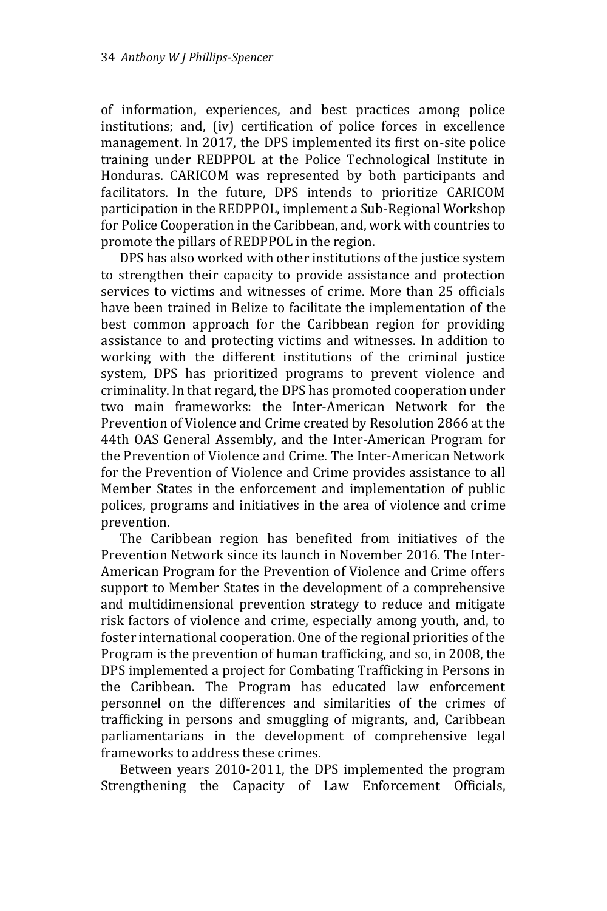of information, experiences, and best practices among police institutions; and, (iv) certification of police forces in excellence management. In 2017, the DPS implemented its first on-site police training under REDPPOL at the Police Technological Institute in Honduras. CARICOM was represented by both participants and facilitators. In the future, DPS intends to prioritize CARICOM participation in the REDPPOL, implement a Sub-Regional Workshop for Police Cooperation in the Caribbean, and, work with countries to promote the pillars of REDPPOL in the region.

 DPS has also worked with other institutions of the justice system to strengthen their capacity to provide assistance and protection services to victims and witnesses of crime. More than 25 officials have been trained in Belize to facilitate the implementation of the best common approach for the Caribbean region for providing assistance to and protecting victims and witnesses. In addition to working with the different institutions of the criminal justice system, DPS has prioritized programs to prevent violence and criminality. In that regard, the DPS has promoted cooperation under two main frameworks: the Inter-American Network for the Prevention of Violence and Crime created by Resolution 2866 at the 44th OAS General Assembly, and the Inter-American Program for the Prevention of Violence and Crime. The Inter-American Network for the Prevention of Violence and Crime provides assistance to all Member States in the enforcement and implementation of public polices, programs and initiatives in the area of violence and crime prevention.

 The Caribbean region has benefited from initiatives of the Prevention Network since its launch in November 2016. The Inter-American Program for the Prevention of Violence and Crime offers support to Member States in the development of a comprehensive and multidimensional prevention strategy to reduce and mitigate risk factors of violence and crime, especially among youth, and, to foster international cooperation. One of the regional priorities of the Program is the prevention of human trafficking, and so, in 2008, the DPS implemented a project for Combating Trafficking in Persons in the Caribbean. The Program has educated law enforcement personnel on the differences and similarities of the crimes of trafficking in persons and smuggling of migrants, and, Caribbean parliamentarians in the development of comprehensive legal frameworks to address these crimes.

 Between years 2010-2011, the DPS implemented the program Strengthening the Capacity of Law Enforcement Officials,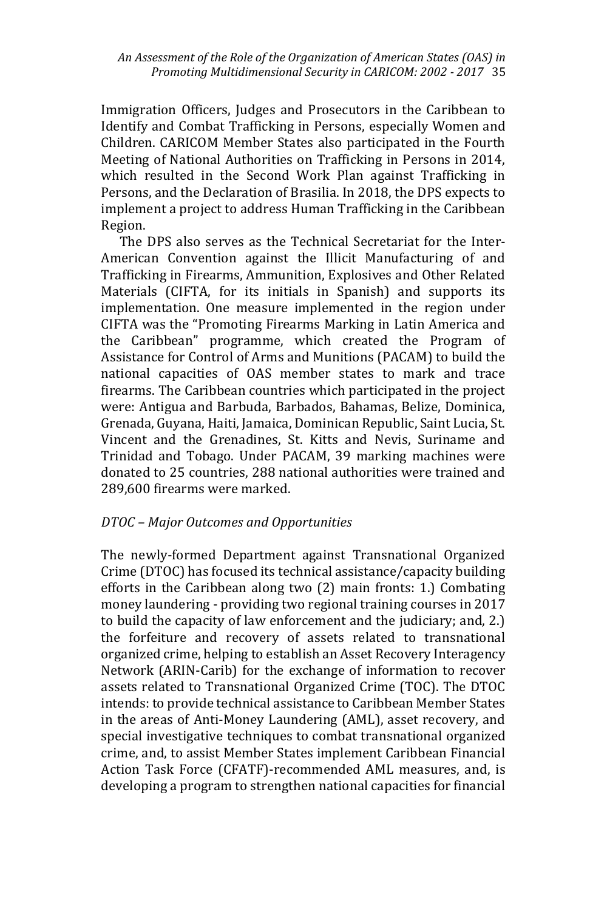Immigration Officers, Judges and Prosecutors in the Caribbean to Identify and Combat Trafficking in Persons, especially Women and Children. CARICOM Member States also participated in the Fourth Meeting of National Authorities on Trafficking in Persons in 2014, which resulted in the Second Work Plan against Trafficking in Persons, and the Declaration of Brasilia. In 2018, the DPS expects to implement a project to address Human Trafficking in the Caribbean Region.

 The DPS also serves as the Technical Secretariat for the Inter-American Convention against the Illicit Manufacturing of and Trafficking in Firearms, Ammunition, Explosives and Other Related Materials (CIFTA, for its initials in Spanish) and supports its implementation. One measure implemented in the region under CIFTA was the "Promoting Firearms Marking in Latin America and the Caribbean" programme, which created the Program of Assistance for Control of Arms and Munitions (PACAM) to build the national capacities of OAS member states to mark and trace firearms. The Caribbean countries which participated in the project were: Antigua and Barbuda, Barbados, Bahamas, Belize, Dominica, Grenada, Guyana, Haiti, Jamaica, Dominican Republic, Saint Lucia, St. Vincent and the Grenadines, St. Kitts and Nevis, Suriname and Trinidad and Tobago. Under PACAM, 39 marking machines were donated to 25 countries, 288 national authorities were trained and 289,600 firearms were marked.

# *DTOC – Major Outcomes and Opportunities*

The newly-formed Department against Transnational Organized Crime (DTOC) has focused its technical assistance/capacity building efforts in the Caribbean along two (2) main fronts: 1.) Combating money laundering - providing two regional training courses in 2017 to build the capacity of law enforcement and the judiciary; and, 2.) the forfeiture and recovery of assets related to transnational organized crime, helping to establish an Asset Recovery Interagency Network (ARIN-Carib) for the exchange of information to recover assets related to Transnational Organized Crime (TOC). The DTOC intends: to provide technical assistance to Caribbean Member States in the areas of Anti-Money Laundering (AML), asset recovery, and special investigative techniques to combat transnational organized crime, and, to assist Member States implement Caribbean Financial Action Task Force (CFATF)-recommended AML measures, and, is developing a program to strengthen national capacities for financial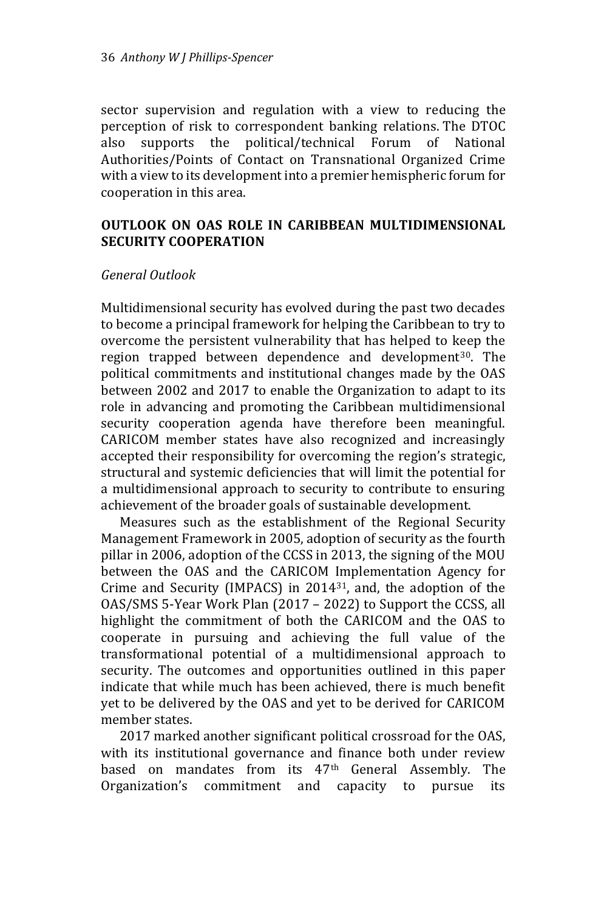sector supervision and regulation with a view to reducing the perception of risk to correspondent banking relations. The DTOC also supports the political/technical Forum of National Authorities/Points of Contact on Transnational Organized Crime with a view to its development into a premier hemispheric forum for cooperation in this area.

### **OUTLOOK ON OAS ROLE IN CARIBBEAN MULTIDIMENSIONAL SECURITY COOPERATION**

#### *General Outlook*

Multidimensional security has evolved during the past two decades to become a principal framework for helping the Caribbean to try to overcome the persistent vulnerability that has helped to keep the region trapped between dependence and development<sup>30</sup>. The political commitments and institutional changes made by the OAS between 2002 and 2017 to enable the Organization to adapt to its role in advancing and promoting the Caribbean multidimensional security cooperation agenda have therefore been meaningful. CARICOM member states have also recognized and increasingly accepted their responsibility for overcoming the region's strategic, structural and systemic deficiencies that will limit the potential for a multidimensional approach to security to contribute to ensuring achievement of the broader goals of sustainable development.

 Measures such as the establishment of the Regional Security Management Framework in 2005, adoption of security as the fourth pillar in 2006, adoption of the CCSS in 2013, the signing of the MOU between the OAS and the CARICOM Implementation Agency for Crime and Security (IMPACS) in 201431, and, the adoption of the OAS/SMS 5-Year Work Plan (2017 – 2022) to Support the CCSS, all highlight the commitment of both the CARICOM and the OAS to cooperate in pursuing and achieving the full value of the transformational potential of a multidimensional approach to security. The outcomes and opportunities outlined in this paper indicate that while much has been achieved, there is much benefit yet to be delivered by the OAS and yet to be derived for CARICOM member states.

 2017 marked another significant political crossroad for the OAS, with its institutional governance and finance both under review based on mandates from its 47th General Assembly. The Organization's commitment and capacity to pursue its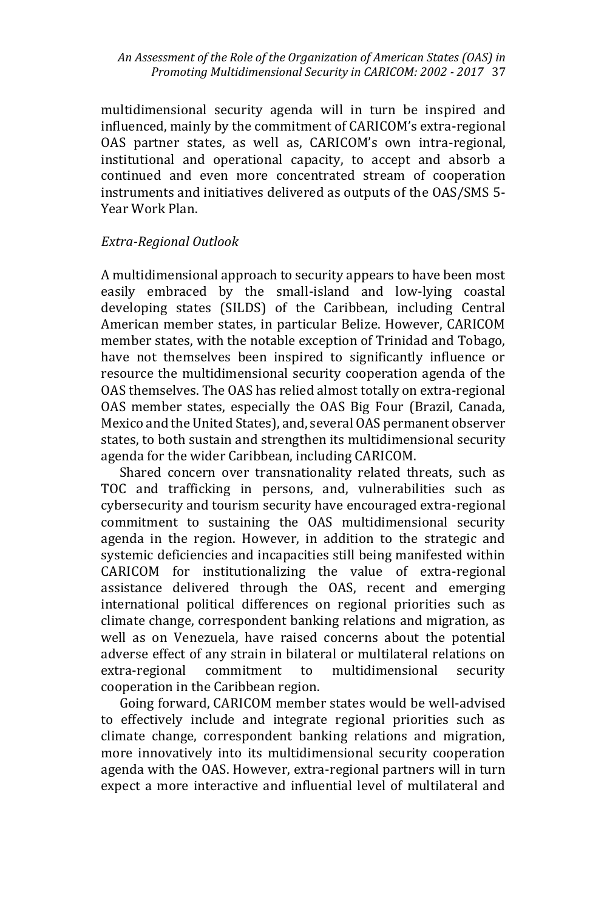multidimensional security agenda will in turn be inspired and influenced, mainly by the commitment of CARICOM's extra-regional OAS partner states, as well as, CARICOM's own intra-regional, institutional and operational capacity, to accept and absorb a continued and even more concentrated stream of cooperation instruments and initiatives delivered as outputs of the OAS/SMS 5- Year Work Plan.

# *Extra-Regional Outlook*

A multidimensional approach to security appears to have been most easily embraced by the small-island and low-lying coastal developing states (SILDS) of the Caribbean, including Central American member states, in particular Belize. However, CARICOM member states, with the notable exception of Trinidad and Tobago, have not themselves been inspired to significantly influence or resource the multidimensional security cooperation agenda of the OAS themselves. The OAS has relied almost totally on extra-regional OAS member states, especially the OAS Big Four (Brazil, Canada, Mexico and the United States), and, several OAS permanent observer states, to both sustain and strengthen its multidimensional security agenda for the wider Caribbean, including CARICOM.

 Shared concern over transnationality related threats, such as TOC and trafficking in persons, and, vulnerabilities such as cybersecurity and tourism security have encouraged extra-regional commitment to sustaining the OAS multidimensional security agenda in the region. However, in addition to the strategic and systemic deficiencies and incapacities still being manifested within CARICOM for institutionalizing the value of extra-regional assistance delivered through the OAS, recent and emerging international political differences on regional priorities such as climate change, correspondent banking relations and migration, as well as on Venezuela, have raised concerns about the potential adverse effect of any strain in bilateral or multilateral relations on extra-regional commitment to multidimensional security cooperation in the Caribbean region.

 Going forward, CARICOM member states would be well-advised to effectively include and integrate regional priorities such as climate change, correspondent banking relations and migration, more innovatively into its multidimensional security cooperation agenda with the OAS. However, extra-regional partners will in turn expect a more interactive and influential level of multilateral and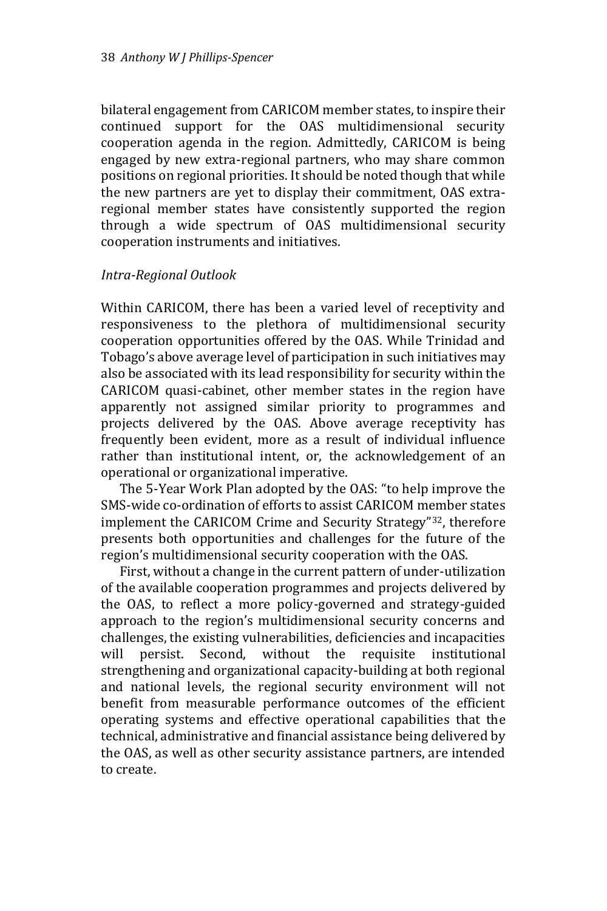bilateral engagement from CARICOM member states, to inspire their continued support for the OAS multidimensional security cooperation agenda in the region. Admittedly, CARICOM is being engaged by new extra-regional partners, who may share common positions on regional priorities. It should be noted though that while the new partners are yet to display their commitment, OAS extraregional member states have consistently supported the region through a wide spectrum of OAS multidimensional security cooperation instruments and initiatives.

#### *Intra-Regional Outlook*

Within CARICOM, there has been a varied level of receptivity and responsiveness to the plethora of multidimensional security cooperation opportunities offered by the OAS. While Trinidad and Tobago's above average level of participation in such initiatives may also be associated with its lead responsibility for security within the CARICOM quasi-cabinet, other member states in the region have apparently not assigned similar priority to programmes and projects delivered by the OAS. Above average receptivity has frequently been evident, more as a result of individual influence rather than institutional intent, or, the acknowledgement of an operational or organizational imperative.

 The 5-Year Work Plan adopted by the OAS: "to help improve the SMS-wide co-ordination of efforts to assist CARICOM member states implement the CARICOM Crime and Security Strategy"32, therefore presents both opportunities and challenges for the future of the region's multidimensional security cooperation with the OAS.

 First, without a change in the current pattern of under-utilization of the available cooperation programmes and projects delivered by the OAS, to reflect a more policy-governed and strategy-guided approach to the region's multidimensional security concerns and challenges, the existing vulnerabilities, deficiencies and incapacities will persist. Second, without the requisite institutional strengthening and organizational capacity-building at both regional and national levels, the regional security environment will not benefit from measurable performance outcomes of the efficient operating systems and effective operational capabilities that the technical, administrative and financial assistance being delivered by the OAS, as well as other security assistance partners, are intended to create.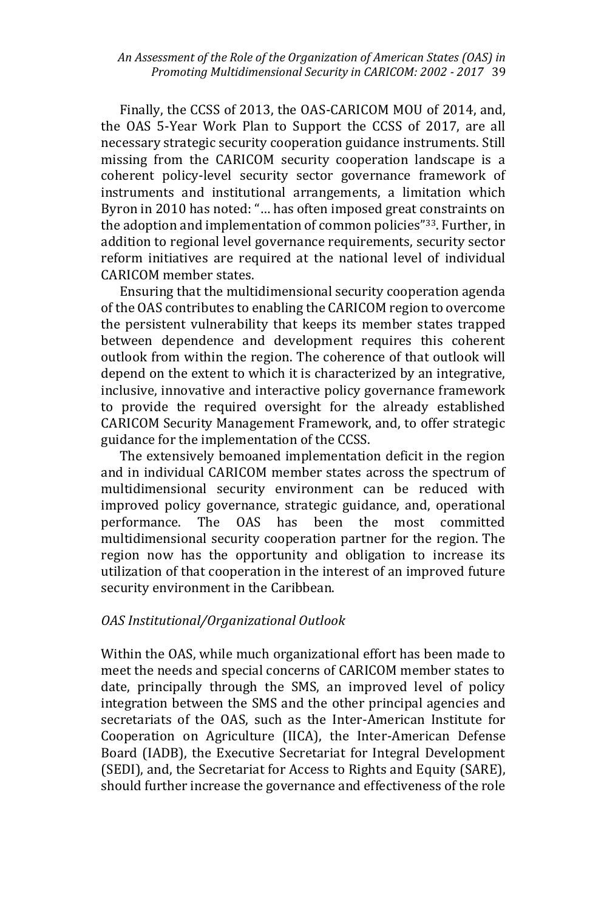Finally, the CCSS of 2013, the OAS-CARICOM MOU of 2014, and, the OAS 5-Year Work Plan to Support the CCSS of 2017, are all necessary strategic security cooperation guidance instruments. Still missing from the CARICOM security cooperation landscape is a coherent policy-level security sector governance framework of instruments and institutional arrangements, a limitation which Byron in 2010 has noted: "… has often imposed great constraints on the adoption and implementation of common policies"33. Further, in addition to regional level governance requirements, security sector reform initiatives are required at the national level of individual CARICOM member states.

 Ensuring that the multidimensional security cooperation agenda of the OAS contributes to enabling the CARICOM region to overcome the persistent vulnerability that keeps its member states trapped between dependence and development requires this coherent outlook from within the region. The coherence of that outlook will depend on the extent to which it is characterized by an integrative, inclusive, innovative and interactive policy governance framework to provide the required oversight for the already established CARICOM Security Management Framework, and, to offer strategic guidance for the implementation of the CCSS.

 The extensively bemoaned implementation deficit in the region and in individual CARICOM member states across the spectrum of multidimensional security environment can be reduced with improved policy governance, strategic guidance, and, operational performance. The OAS has been the most committed multidimensional security cooperation partner for the region. The region now has the opportunity and obligation to increase its utilization of that cooperation in the interest of an improved future security environment in the Caribbean.

# *OAS Institutional/Organizational Outlook*

Within the OAS, while much organizational effort has been made to meet the needs and special concerns of CARICOM member states to date, principally through the SMS, an improved level of policy integration between the SMS and the other principal agencies and secretariats of the OAS, such as the Inter-American Institute for Cooperation on Agriculture (IICA), the Inter-American Defense Board (IADB), the Executive Secretariat for Integral Development (SEDI), and, the Secretariat for Access to Rights and Equity (SARE), should further increase the governance and effectiveness of the role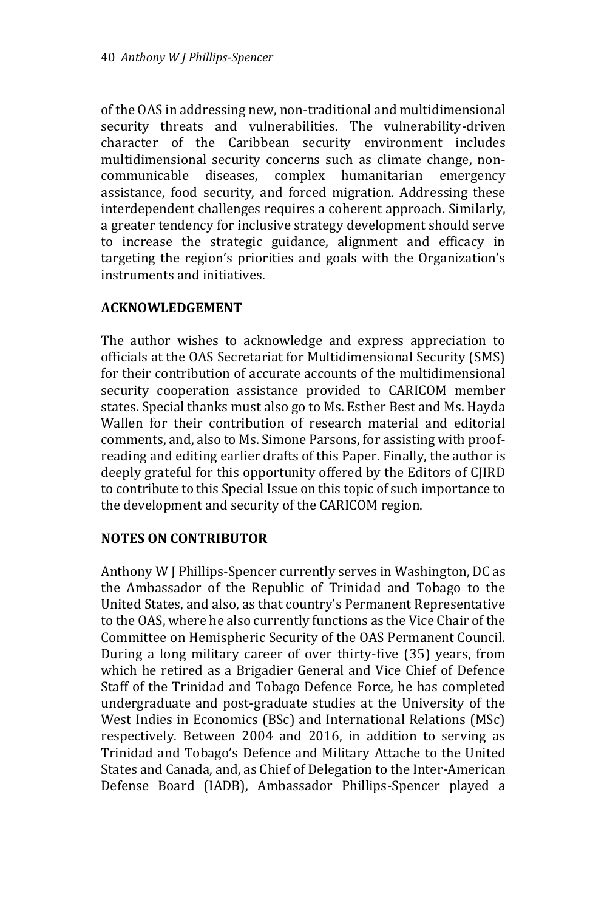of the OAS in addressing new, non-traditional and multidimensional security threats and vulnerabilities. The vulnerability-driven character of the Caribbean security environment includes multidimensional security concerns such as climate change, noncommunicable diseases, complex humanitarian emergency assistance, food security, and forced migration. Addressing these interdependent challenges requires a coherent approach. Similarly, a greater tendency for inclusive strategy development should serve to increase the strategic guidance, alignment and efficacy in targeting the region's priorities and goals with the Organization's instruments and initiatives.

# **ACKNOWLEDGEMENT**

The author wishes to acknowledge and express appreciation to officials at the OAS Secretariat for Multidimensional Security (SMS) for their contribution of accurate accounts of the multidimensional security cooperation assistance provided to CARICOM member states. Special thanks must also go to Ms. Esther Best and Ms. Hayda Wallen for their contribution of research material and editorial comments, and, also to Ms. Simone Parsons, for assisting with proofreading and editing earlier drafts of this Paper. Finally, the author is deeply grateful for this opportunity offered by the Editors of CJIRD to contribute to this Special Issue on this topic of such importance to the development and security of the CARICOM region.

# **NOTES ON CONTRIBUTOR**

Anthony W J Phillips-Spencer currently serves in Washington, DC as the Ambassador of the Republic of Trinidad and Tobago to the United States, and also, as that country's Permanent Representative to the OAS, where he also currently functions as the Vice Chair of the Committee on Hemispheric Security of the OAS Permanent Council. During a long military career of over thirty-five (35) years, from which he retired as a Brigadier General and Vice Chief of Defence Staff of the Trinidad and Tobago Defence Force, he has completed undergraduate and post-graduate studies at the University of the West Indies in Economics (BSc) and International Relations (MSc) respectively. Between 2004 and 2016, in addition to serving as Trinidad and Tobago's Defence and Military Attache to the United States and Canada, and, as Chief of Delegation to the Inter-American Defense Board (IADB), Ambassador Phillips-Spencer played a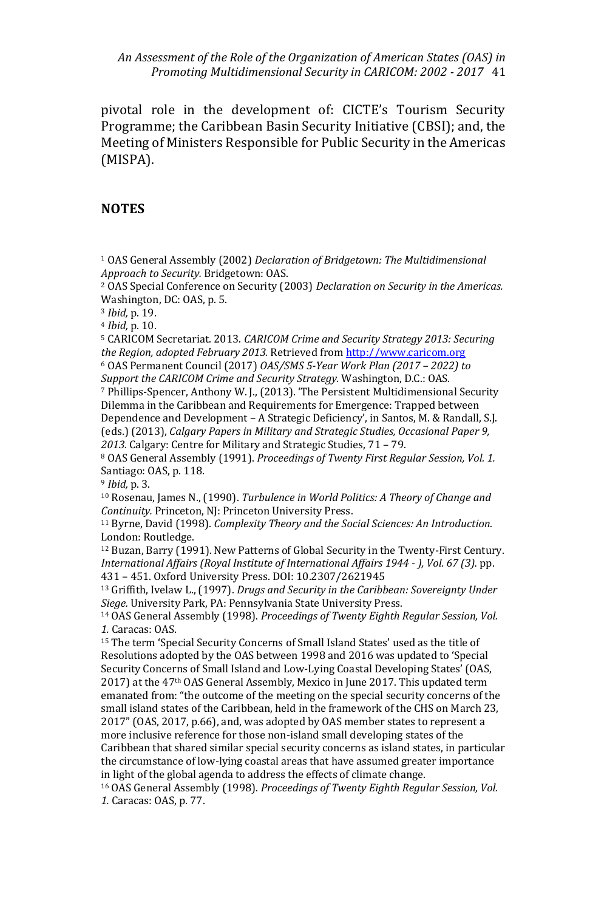pivotal role in the development of: CICTE's Tourism Security Programme; the Caribbean Basin Security Initiative (CBSI); and, the Meeting of Ministers Responsible for Public Security in the Americas (MISPA).

#### **NOTES**

<sup>1</sup> OAS General Assembly (2002) *Declaration of Bridgetown: The Multidimensional Approach to Security.* Bridgetown: OAS.

<sup>2</sup> OAS Special Conference on Security (2003) *Declaration on Security in the Americas.* Washington, DC: OAS, p. 5.

<sup>3</sup> *Ibid,* p. 19.

<sup>4</sup> *Ibid,* p. 10.

<sup>5</sup> CARICOM Secretariat. 2013. *CARICOM Crime and Security Strategy 2013: Securing the Region, adopted February 2013.* Retrieved fro[m http://www.caricom.org](http://www.caricom.org/)

<sup>6</sup> OAS Permanent Council (2017) *OAS/SMS 5-Year Work Plan (2017 – 2022) to Support the CARICOM Crime and Security Strategy.* Washington, D.C.: OAS.

<sup>7</sup> Phillips-Spencer, Anthony W. J., (2013). 'The Persistent Multidimensional Security Dilemma in the Caribbean and Requirements for Emergence: Trapped between Dependence and Development – A Strategic Deficiency', in Santos, M. & Randall, S.J. (eds.) (2013), *Calgary Papers in Military and Strategic Studies, Occasional Paper 9, 2013.* Calgary: Centre for Military and Strategic Studies, 71 – 79.

<sup>8</sup> OAS General Assembly (1991). *Proceedings of Twenty First Regular Session, Vol. 1.*  Santiago: OAS, p. 118.

<sup>9</sup> *Ibid,* p. 3.

<sup>10</sup> Rosenau, James N., (1990). *Turbulence in World Politics: A Theory of Change and Continuity.* Princeton, NJ: Princeton University Press.

<sup>11</sup> Byrne, David (1998). *Complexity Theory and the Social Sciences: An Introduction.*  London: Routledge.

<sup>12</sup> Buzan, Barry (1991). New Patterns of Global Security in the Twenty-First Century. *International Affairs (Royal Institute of International Affairs 1944 - ), Vol. 67 (3).* pp. 431 – 451. Oxford University Press. DOI: 10.2307/2621945

<sup>13</sup> Griffith, Ivelaw L., (1997). *Drugs and Security in the Caribbean: Sovereignty Under Siege.* University Park, PA: Pennsylvania State University Press.

<sup>14</sup> OAS General Assembly (1998). *Proceedings of Twenty Eighth Regular Session, Vol. 1.* Caracas: OAS.

<sup>15</sup> The term 'Special Security Concerns of Small Island States' used as the title of Resolutions adopted by the OAS between 1998 and 2016 was updated to 'Special Security Concerns of Small Island and Low-Lying Coastal Developing States' (OAS, 2017) at the 47th OAS General Assembly, Mexico in June 2017. This updated term emanated from: "the outcome of the meeting on the special security concerns of the small island states of the Caribbean, held in the framework of the CHS on March 23, 2017" (OAS, 2017, p.66), and, was adopted by OAS member states to represent a more inclusive reference for those non-island small developing states of the Caribbean that shared similar special security concerns as island states, in particular the circumstance of low-lying coastal areas that have assumed greater importance in light of the global agenda to address the effects of climate change.

<sup>16</sup> OAS General Assembly (1998). *Proceedings of Twenty Eighth Regular Session, Vol. 1.* Caracas: OAS, p. 77.